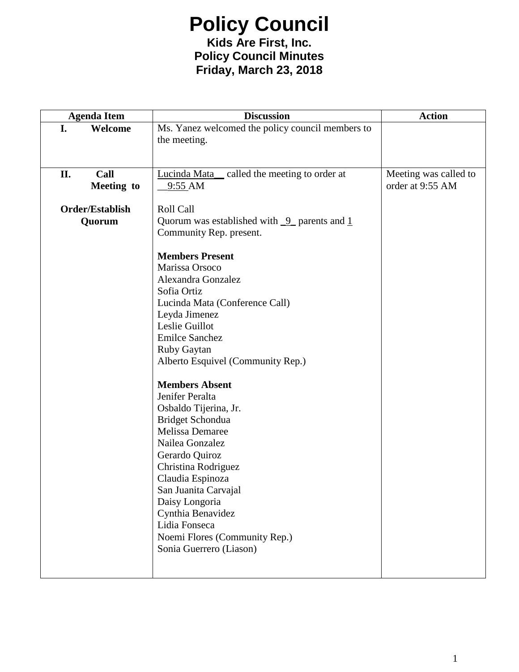### **Policy Council Kids Are First, Inc. Policy Council Minutes**

**Friday, March 23, 2018**

| <b>Agenda Item</b> | <b>Discussion</b>                                         | <b>Action</b>         |
|--------------------|-----------------------------------------------------------|-----------------------|
| I.<br>Welcome      | Ms. Yanez welcomed the policy council members to          |                       |
|                    | the meeting.                                              |                       |
|                    |                                                           |                       |
|                    |                                                           |                       |
| Call<br>П.         | Lucinda Mata <sub>ng</sub> called the meeting to order at | Meeting was called to |
| <b>Meeting</b> to  | 9:55 AM                                                   | order at 9:55 AM      |
| Order/Establish    | Roll Call                                                 |                       |
| Quorum             | Quorum was established with $\frac{9}{2}$ parents and 1   |                       |
|                    | Community Rep. present.                                   |                       |
|                    |                                                           |                       |
|                    | <b>Members Present</b>                                    |                       |
|                    | Marissa Orsoco                                            |                       |
|                    | Alexandra Gonzalez                                        |                       |
|                    | Sofia Ortiz                                               |                       |
|                    | Lucinda Mata (Conference Call)                            |                       |
|                    | Leyda Jimenez                                             |                       |
|                    | Leslie Guillot                                            |                       |
|                    | <b>Emilce Sanchez</b>                                     |                       |
|                    | <b>Ruby Gaytan</b>                                        |                       |
|                    | Alberto Esquivel (Community Rep.)                         |                       |
|                    | <b>Members Absent</b>                                     |                       |
|                    | Jenifer Peralta                                           |                       |
|                    | Osbaldo Tijerina, Jr.                                     |                       |
|                    | Bridget Schondua                                          |                       |
|                    | Melissa Demaree                                           |                       |
|                    | Nailea Gonzalez                                           |                       |
|                    | Gerardo Quiroz                                            |                       |
|                    | Christina Rodriguez                                       |                       |
|                    | Claudia Espinoza                                          |                       |
|                    | San Juanita Carvajal                                      |                       |
|                    | Daisy Longoria                                            |                       |
|                    | Cynthia Benavidez                                         |                       |
|                    | Lidia Fonseca                                             |                       |
|                    | Noemi Flores (Community Rep.)                             |                       |
|                    | Sonia Guerrero (Liason)                                   |                       |
|                    |                                                           |                       |
|                    |                                                           |                       |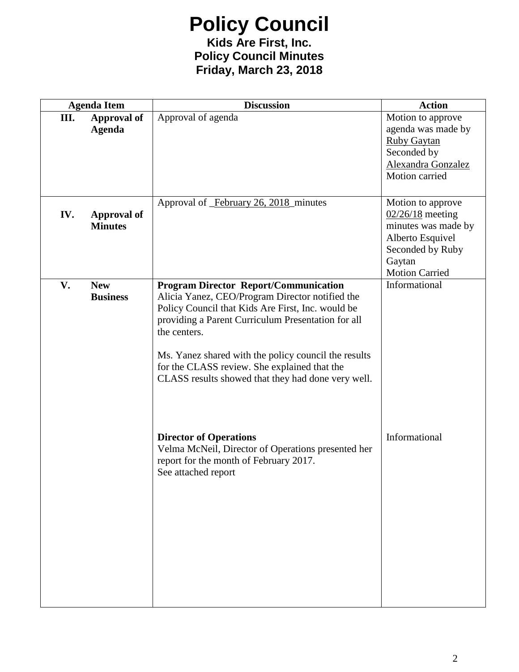# **Policy Council**

#### **Kids Are First, Inc. Policy Council Minutes Friday, March 23, 2018**

|     | <b>Agenda Item</b>                   | <b>Discussion</b>                                                                                                                                                                                                                                                                                                                                                                        | <b>Action</b>                                                                                                                             |
|-----|--------------------------------------|------------------------------------------------------------------------------------------------------------------------------------------------------------------------------------------------------------------------------------------------------------------------------------------------------------------------------------------------------------------------------------------|-------------------------------------------------------------------------------------------------------------------------------------------|
| Ш.  | <b>Approval of</b><br><b>Agenda</b>  | Approval of agenda                                                                                                                                                                                                                                                                                                                                                                       | Motion to approve<br>agenda was made by<br><b>Ruby Gaytan</b><br>Seconded by<br><b>Alexandra Gonzalez</b><br>Motion carried               |
| IV. | <b>Approval of</b><br><b>Minutes</b> | Approval of February 26, 2018 minutes                                                                                                                                                                                                                                                                                                                                                    | Motion to approve<br>$02/26/18$ meeting<br>minutes was made by<br>Alberto Esquivel<br>Seconded by Ruby<br>Gaytan<br><b>Motion Carried</b> |
| V.  | <b>New</b><br><b>Business</b>        | <b>Program Director Report/Communication</b><br>Alicia Yanez, CEO/Program Director notified the<br>Policy Council that Kids Are First, Inc. would be<br>providing a Parent Curriculum Presentation for all<br>the centers.<br>Ms. Yanez shared with the policy council the results<br>for the CLASS review. She explained that the<br>CLASS results showed that they had done very well. | Informational                                                                                                                             |
|     |                                      | <b>Director of Operations</b><br>Velma McNeil, Director of Operations presented her<br>report for the month of February 2017.<br>See attached report                                                                                                                                                                                                                                     | Informational                                                                                                                             |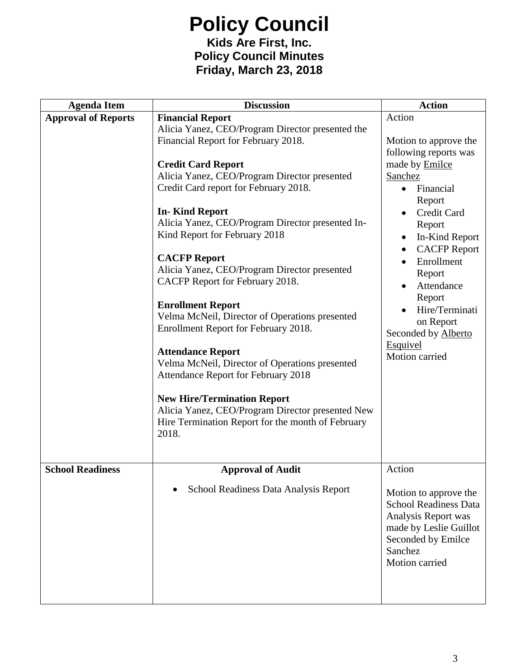# **Policy Council**

#### **Kids Are First, Inc. Policy Council Minutes Friday, March 23, 2018**

| <b>Agenda Item</b>         | <b>Discussion</b>                                                                       | <b>Action</b>                                         |
|----------------------------|-----------------------------------------------------------------------------------------|-------------------------------------------------------|
| <b>Approval of Reports</b> | <b>Financial Report</b>                                                                 | Action                                                |
|                            | Alicia Yanez, CEO/Program Director presented the<br>Financial Report for February 2018. | Motion to approve the<br>following reports was        |
|                            | <b>Credit Card Report</b>                                                               | made by Emilce                                        |
|                            | Alicia Yanez, CEO/Program Director presented                                            | Sanchez                                               |
|                            | Credit Card report for February 2018.                                                   | Financial<br>Report                                   |
|                            | <b>In-Kind Report</b>                                                                   | Credit Card                                           |
|                            | Alicia Yanez, CEO/Program Director presented In-                                        | Report                                                |
|                            | Kind Report for February 2018                                                           | In-Kind Report<br><b>CACFP</b> Report                 |
|                            | <b>CACFP Report</b>                                                                     | Enrollment                                            |
|                            | Alicia Yanez, CEO/Program Director presented                                            | Report                                                |
|                            | CACFP Report for February 2018.                                                         | Attendance                                            |
|                            | <b>Enrollment Report</b>                                                                | Report<br>Hire/Terminati                              |
|                            | Velma McNeil, Director of Operations presented                                          | on Report                                             |
|                            | Enrollment Report for February 2018.                                                    | Seconded by Alberto                                   |
|                            | <b>Attendance Report</b>                                                                | Esquivel                                              |
|                            | Velma McNeil, Director of Operations presented                                          | Motion carried                                        |
|                            | Attendance Report for February 2018                                                     |                                                       |
|                            | <b>New Hire/Termination Report</b>                                                      |                                                       |
|                            | Alicia Yanez, CEO/Program Director presented New                                        |                                                       |
|                            | Hire Termination Report for the month of February<br>2018.                              |                                                       |
|                            |                                                                                         |                                                       |
| <b>School Readiness</b>    | <b>Approval of Audit</b>                                                                | Action                                                |
|                            | School Readiness Data Analysis Report                                                   |                                                       |
|                            |                                                                                         | Motion to approve the<br><b>School Readiness Data</b> |
|                            |                                                                                         | Analysis Report was                                   |
|                            |                                                                                         | made by Leslie Guillot                                |
|                            |                                                                                         | Seconded by Emilce                                    |
|                            |                                                                                         | Sanchez                                               |
|                            |                                                                                         | Motion carried                                        |
|                            |                                                                                         |                                                       |
|                            |                                                                                         |                                                       |